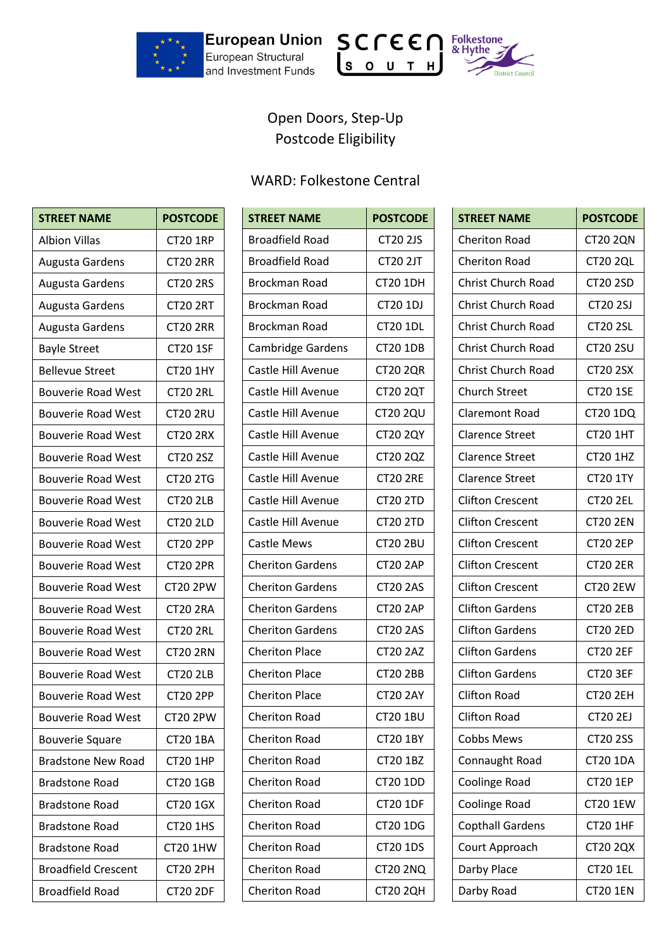





## Open Doors, Step-Up Postcode Eligibility

## WARD: Folkestone Central

| <b>STREET NAME</b>         | <b>POSTCODE</b> |
|----------------------------|-----------------|
| <b>Albion Villas</b>       | <b>CT20 1RP</b> |
| Augusta Gardens            | <b>CT20 2RR</b> |
| Augusta Gardens            | <b>CT20 2RS</b> |
| Augusta Gardens            | <b>CT20 2RT</b> |
| Augusta Gardens            | <b>CT20 2RR</b> |
| <b>Bayle Street</b>        | <b>CT20 1SF</b> |
| <b>Bellevue Street</b>     | <b>CT20 1HY</b> |
| <b>Bouverie Road West</b>  | <b>CT20 2RL</b> |
| <b>Bouverie Road West</b>  | <b>CT20 2RU</b> |
| <b>Bouverie Road West</b>  | <b>CT20 2RX</b> |
| <b>Bouverie Road West</b>  | <b>CT20 2SZ</b> |
| <b>Bouverie Road West</b>  | <b>CT20 2TG</b> |
| <b>Bouverie Road West</b>  | <b>CT20 2LB</b> |
| <b>Bouverie Road West</b>  | <b>CT20 2LD</b> |
| <b>Bouverie Road West</b>  | <b>CT20 2PP</b> |
| <b>Bouverie Road West</b>  | <b>CT20 2PR</b> |
| <b>Bouverie Road West</b>  | <b>CT20 2PW</b> |
| <b>Bouverie Road West</b>  | <b>CT20 2RA</b> |
| <b>Bouverie Road West</b>  | <b>CT20 2RL</b> |
| <b>Bouverie Road West</b>  | <b>CT20 2RN</b> |
| <b>Bouverie Road West</b>  | <b>CT20 2LB</b> |
| <b>Bouverie Road West</b>  | <b>CT20 2PP</b> |
| <b>Bouverie Road West</b>  | <b>CT20 2PW</b> |
| <b>Bouverie Square</b>     | <b>CT20 1BA</b> |
| <b>Bradstone New Road</b>  | <b>CT20 1HP</b> |
| <b>Bradstone Road</b>      | <b>CT20 1GB</b> |
| <b>Bradstone Road</b>      | <b>CT20 1GX</b> |
| Bradstone Road             | <b>CT20 1HS</b> |
| Bradstone Road             | <b>CT20 1HW</b> |
| <b>Broadfield Crescent</b> | <b>CT20 2PH</b> |
| <b>Broadfield Road</b>     | <b>CT20 2DF</b> |

| <b>STREET NAME</b>      | <b>POSTCODE</b> |
|-------------------------|-----------------|
| <b>Broadfield Road</b>  | <b>CT20 2JS</b> |
| <b>Broadfield Road</b>  | <b>CT20 2JT</b> |
| Brockman Road           | <b>CT20 1DH</b> |
| Brockman Road           | CT20 1DJ        |
| Brockman Road           | <b>CT20 1DL</b> |
| Cambridge Gardens       | <b>CT20 1DB</b> |
| Castle Hill Avenue      | <b>CT20 2QR</b> |
| Castle Hill Avenue      | <b>CT20 2QT</b> |
| Castle Hill Avenue      | <b>CT20 2QU</b> |
| Castle Hill Avenue      | <b>CT20 2QY</b> |
| Castle Hill Avenue      | CT20 2QZ        |
| Castle Hill Avenue      | <b>CT20 2RE</b> |
| Castle Hill Avenue      | <b>CT20 2TD</b> |
| Castle Hill Avenue      | <b>CT20 2TD</b> |
| <b>Castle Mews</b>      | <b>CT20 2BU</b> |
| <b>Cheriton Gardens</b> | <b>CT20 2AP</b> |
| <b>Cheriton Gardens</b> | <b>CT20 2AS</b> |
| <b>Cheriton Gardens</b> | <b>CT20 2AP</b> |
| <b>Cheriton Gardens</b> | <b>CT20 2AS</b> |
| <b>Cheriton Place</b>   | <b>CT20 2AZ</b> |
| <b>Cheriton Place</b>   | <b>CT20 2BB</b> |
| <b>Cheriton Place</b>   | <b>CT20 2AY</b> |
| <b>Cheriton Road</b>    | <b>CT20 1BU</b> |
| <b>Cheriton Road</b>    | <b>CT20 1BY</b> |
| <b>Cheriton Road</b>    | <b>CT20 1BZ</b> |
| <b>Cheriton Road</b>    | <b>CT20 1DD</b> |
| <b>Cheriton Road</b>    | <b>CT20 1DF</b> |
| <b>Cheriton Road</b>    | <b>CT20 1DG</b> |
| <b>Cheriton Road</b>    | <b>CT20 1DS</b> |
| <b>Cheriton Road</b>    | <b>CT20 2NQ</b> |
| <b>Cheriton Road</b>    | <b>CT20 2QH</b> |

| <b>STREET NAME</b>        | <b>POSTCODE</b> |
|---------------------------|-----------------|
| <b>Cheriton Road</b>      | <b>CT20 2QN</b> |
| <b>Cheriton Road</b>      | <b>CT20 2QL</b> |
| <b>Christ Church Road</b> | <b>CT20 2SD</b> |
| <b>Christ Church Road</b> | <b>CT20 2SJ</b> |
| <b>Christ Church Road</b> | <b>CT20 2SL</b> |
| <b>Christ Church Road</b> | <b>CT20 2SU</b> |
| <b>Christ Church Road</b> | <b>CT20 2SX</b> |
| <b>Church Street</b>      | <b>CT20 1SE</b> |
| <b>Claremont Road</b>     | <b>CT20 1DQ</b> |
| <b>Clarence Street</b>    | <b>CT20 1HT</b> |
| <b>Clarence Street</b>    | <b>CT20 1HZ</b> |
| <b>Clarence Street</b>    | <b>CT20 1TY</b> |
| <b>Clifton Crescent</b>   | <b>CT20 2EL</b> |
| <b>Clifton Crescent</b>   | <b>CT20 2EN</b> |
| <b>Clifton Crescent</b>   | <b>CT20 2EP</b> |
| <b>Clifton Crescent</b>   | <b>CT20 2ER</b> |
| Clifton Crescent          | <b>CT20 2EW</b> |
| <b>Clifton Gardens</b>    | <b>CT20 2EB</b> |
| <b>Clifton Gardens</b>    | <b>CT20 2ED</b> |
| <b>Clifton Gardens</b>    | <b>CT20 2EF</b> |
| <b>Clifton Gardens</b>    | <b>CT20 3EF</b> |
| Clifton Road              | <b>CT20 2EH</b> |
| <b>Clifton Road</b>       | <b>CT20 2EJ</b> |
| <b>Cobbs Mews</b>         | <b>CT20 2SS</b> |
| Connaught Road            | <b>CT20 1DA</b> |
| Coolinge Road             | <b>CT20 1EP</b> |
| Coolinge Road             | <b>CT20 1EW</b> |
| <b>Copthall Gardens</b>   | <b>CT20 1HF</b> |
| Court Approach            | <b>CT20 2QX</b> |
| Darby Place               | <b>CT20 1EL</b> |
| Darby Road                | <b>CT20 1EN</b> |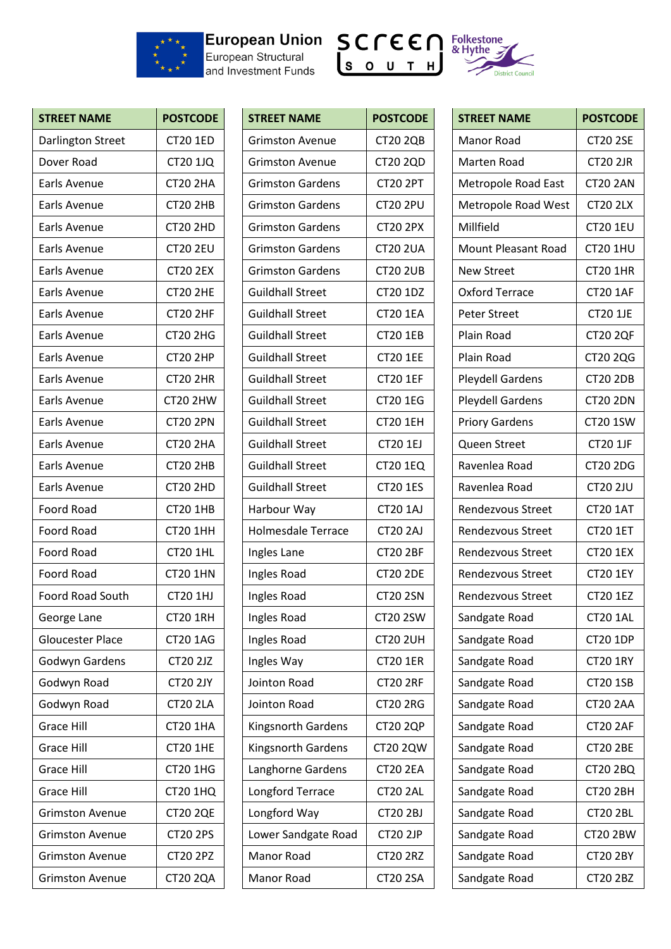

## European Structural





| <b>STREET NAME</b>       | <b>POSTCODE</b> |
|--------------------------|-----------------|
| <b>Darlington Street</b> | <b>CT20 1ED</b> |
| Dover Road               | <b>CT20 1JQ</b> |
| Earls Avenue             | <b>CT20 2HA</b> |
| <b>Earls Avenue</b>      | <b>CT20 2HB</b> |
| <b>Earls Avenue</b>      | <b>CT20 2HD</b> |
| Earls Avenue             | <b>CT20 2EU</b> |
| Earls Avenue             | <b>CT20 2EX</b> |
| Earls Avenue             | <b>CT20 2HE</b> |
| Earls Avenue             | <b>CT20 2HF</b> |
| Earls Avenue             | <b>CT20 2HG</b> |
| Earls Avenue             | <b>CT20 2HP</b> |
| Earls Avenue             | <b>CT20 2HR</b> |
| Earls Avenue             | <b>CT20 2HW</b> |
| Earls Avenue             | <b>CT20 2PN</b> |
| <b>Earls Avenue</b>      | <b>CT20 2HA</b> |
| Earls Avenue             | <b>CT20 2HB</b> |
| Earls Avenue             | <b>CT20 2HD</b> |
| Foord Road               | <b>CT20 1HB</b> |
| Foord Road               | <b>CT20 1HH</b> |
| Foord Road               | <b>CT20 1HL</b> |
| <b>Foord Road</b>        | <b>CT20 1HN</b> |
| <b>Foord Road South</b>  | CT20 1HJ        |
| George Lane              | <b>CT20 1RH</b> |
| <b>Gloucester Place</b>  | <b>CT20 1AG</b> |
| Godwyn Gardens           | <b>CT20 2JZ</b> |
| Godwyn Road              | <b>CT20 2JY</b> |
| Godwyn Road              | <b>CT20 2LA</b> |
| Grace Hill               | <b>CT20 1HA</b> |
| <b>Grace Hill</b>        | <b>CT20 1HE</b> |
| <b>Grace Hill</b>        | <b>CT20 1HG</b> |
| Grace Hill               | <b>CT20 1HQ</b> |
| <b>Grimston Avenue</b>   | <b>CT20 2QE</b> |
| <b>Grimston Avenue</b>   | <b>CT20 2PS</b> |
| <b>Grimston Avenue</b>   | <b>CT20 2PZ</b> |
| <b>Grimston Avenue</b>   | <b>CT20 2QA</b> |

| <b>STREET NAME</b>        | <b>POSTCODE</b> |
|---------------------------|-----------------|
| <b>Grimston Avenue</b>    | <b>CT20 2QB</b> |
| <b>Grimston Avenue</b>    | <b>CT20 2QD</b> |
| <b>Grimston Gardens</b>   | <b>CT20 2PT</b> |
| <b>Grimston Gardens</b>   | <b>CT20 2PU</b> |
| <b>Grimston Gardens</b>   | <b>CT20 2PX</b> |
| <b>Grimston Gardens</b>   | <b>CT20 2UA</b> |
| <b>Grimston Gardens</b>   | <b>CT20 2UB</b> |
| <b>Guildhall Street</b>   | <b>CT20 1DZ</b> |
| <b>Guildhall Street</b>   | <b>CT20 1EA</b> |
| <b>Guildhall Street</b>   | <b>CT20 1EB</b> |
| <b>Guildhall Street</b>   | <b>CT20 1EE</b> |
| <b>Guildhall Street</b>   | <b>CT20 1EF</b> |
| <b>Guildhall Street</b>   | <b>CT20 1EG</b> |
| <b>Guildhall Street</b>   | <b>CT20 1EH</b> |
| <b>Guildhall Street</b>   | <b>CT20 1EJ</b> |
| <b>Guildhall Street</b>   | <b>CT20 1EQ</b> |
| <b>Guildhall Street</b>   | <b>CT20 1ES</b> |
| Harbour Way               | <b>CT20 1AJ</b> |
| <b>Holmesdale Terrace</b> | <b>CT20 2AJ</b> |
| Ingles Lane               | <b>CT20 2BF</b> |
| Ingles Road               | <b>CT20 2DE</b> |
| Ingles Road               | <b>CT20 2SN</b> |
| Ingles Road               | <b>CT20 2SW</b> |
| Ingles Road               | <b>CT20 2UH</b> |
| Ingles Way                | <b>CT20 1ER</b> |
| Jointon Road              | <b>CT20 2RF</b> |
| Jointon Road              | <b>CT20 2RG</b> |
| Kingsnorth Gardens        | <b>CT20 2QP</b> |
| <b>Kingsnorth Gardens</b> | CT20 2QW        |
| Langhorne Gardens         | <b>CT20 2EA</b> |
| Longford Terrace          | <b>CT20 2AL</b> |
| Longford Way              | <b>CT20 2BJ</b> |
| Lower Sandgate Road       | <b>CT20 2JP</b> |
| Manor Road                | <b>CT20 2RZ</b> |
| Manor Road                | <b>CT20 2SA</b> |

| <b>STREET NAME</b>         | <b>POSTCODE</b> |
|----------------------------|-----------------|
| Manor Road                 | <b>CT20 2SE</b> |
| Marten Road                | <b>CT20 2JR</b> |
| Metropole Road East        | <b>CT20 2AN</b> |
| Metropole Road West        | <b>CT20 2LX</b> |
| Millfield                  | <b>CT20 1EU</b> |
| <b>Mount Pleasant Road</b> | CT20 1HU        |
| <b>New Street</b>          | <b>CT20 1HR</b> |
| <b>Oxford Terrace</b>      | <b>CT20 1AF</b> |
| <b>Peter Street</b>        | <b>CT20 1JE</b> |
| <b>Plain Road</b>          | <b>CT20 2QF</b> |
| Plain Road                 | CT20 2QG        |
| <b>Pleydell Gardens</b>    | <b>CT20 2DB</b> |
| <b>Pleydell Gardens</b>    | <b>CT20 2DN</b> |
| <b>Priory Gardens</b>      | <b>CT20 1SW</b> |
| <b>Queen Street</b>        | <b>CT20 1JF</b> |
| Ravenlea Road              | <b>CT20 2DG</b> |
| Ravenlea Road              | <b>CT20 2JU</b> |
| Rendezvous Street          | <b>CT20 1AT</b> |
| Rendezvous Street          | <b>CT20 1ET</b> |
| <b>Rendezvous Street</b>   | <b>CT20 1EX</b> |
| Rendezvous Street          | <b>CT20 1EY</b> |
| Rendezvous Street          | <b>CT20 1EZ</b> |
| Sandgate Road              | <b>CT20 1AL</b> |
| Sandgate Road              | <b>CT20 1DP</b> |
| Sandgate Road              | <b>CT20 1RY</b> |
| Sandgate Road              | <b>CT20 1SB</b> |
| Sandgate Road              | <b>CT20 2AA</b> |
| Sandgate Road              | <b>CT20 2AF</b> |
| Sandgate Road              | <b>CT20 2BE</b> |
| Sandgate Road              | CT20 2BQ        |
| Sandgate Road              | <b>CT20 2BH</b> |
| Sandgate Road              | <b>CT20 2BL</b> |
| Sandgate Road              | <b>CT20 2BW</b> |
| Sandgate Road              | <b>CT20 2BY</b> |
| Sandgate Road              | <b>CT20 2BZ</b> |